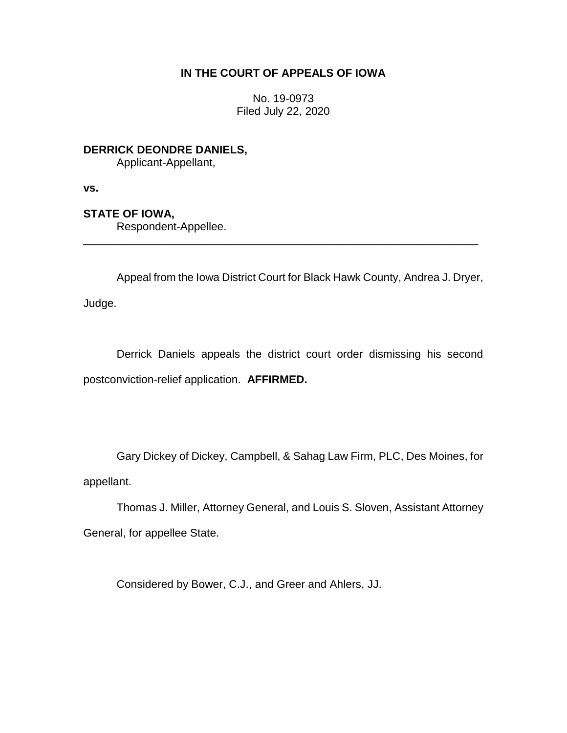# **IN THE COURT OF APPEALS OF IOWA**

No. 19-0973 Filed July 22, 2020

**DERRICK DEONDRE DANIELS,**

Applicant-Appellant,

**vs.**

**STATE OF IOWA,**

Respondent-Appellee.

Appeal from the Iowa District Court for Black Hawk County, Andrea J. Dryer,

\_\_\_\_\_\_\_\_\_\_\_\_\_\_\_\_\_\_\_\_\_\_\_\_\_\_\_\_\_\_\_\_\_\_\_\_\_\_\_\_\_\_\_\_\_\_\_\_\_\_\_\_\_\_\_\_\_\_\_\_\_\_\_\_

Judge.

Derrick Daniels appeals the district court order dismissing his second postconviction-relief application. **AFFIRMED.**

Gary Dickey of Dickey, Campbell, & Sahag Law Firm, PLC, Des Moines, for appellant.

Thomas J. Miller, Attorney General, and Louis S. Sloven, Assistant Attorney General, for appellee State.

Considered by Bower, C.J., and Greer and Ahlers, JJ.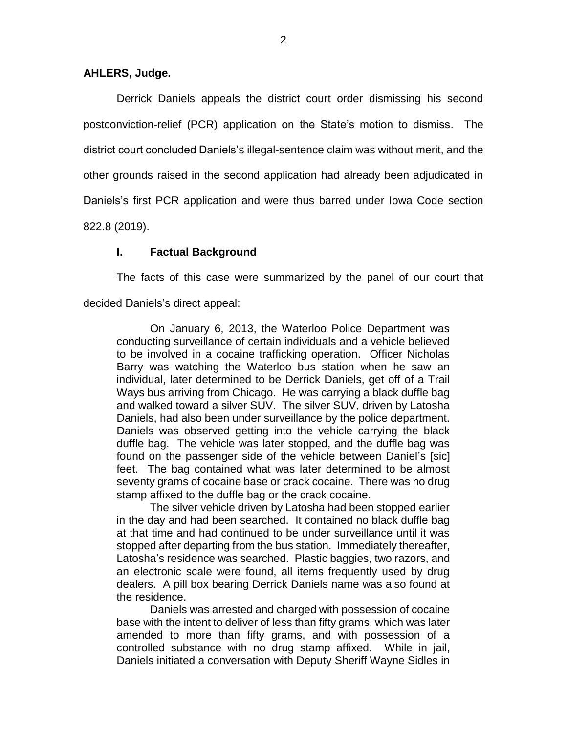### **AHLERS, Judge.**

Derrick Daniels appeals the district court order dismissing his second postconviction-relief (PCR) application on the State's motion to dismiss. The district court concluded Daniels's illegal-sentence claim was without merit, and the other grounds raised in the second application had already been adjudicated in Daniels's first PCR application and were thus barred under Iowa Code section

822.8 (2019).

## **I. Factual Background**

The facts of this case were summarized by the panel of our court that decided Daniels's direct appeal:

On January 6, 2013, the Waterloo Police Department was conducting surveillance of certain individuals and a vehicle believed to be involved in a cocaine trafficking operation. Officer Nicholas Barry was watching the Waterloo bus station when he saw an individual, later determined to be Derrick Daniels, get off of a Trail Ways bus arriving from Chicago. He was carrying a black duffle bag and walked toward a silver SUV. The silver SUV, driven by Latosha Daniels, had also been under surveillance by the police department. Daniels was observed getting into the vehicle carrying the black duffle bag. The vehicle was later stopped, and the duffle bag was found on the passenger side of the vehicle between Daniel's [sic] feet. The bag contained what was later determined to be almost seventy grams of cocaine base or crack cocaine. There was no drug stamp affixed to the duffle bag or the crack cocaine.

The silver vehicle driven by Latosha had been stopped earlier in the day and had been searched. It contained no black duffle bag at that time and had continued to be under surveillance until it was stopped after departing from the bus station. Immediately thereafter, Latosha's residence was searched. Plastic baggies, two razors, and an electronic scale were found, all items frequently used by drug dealers. A pill box bearing Derrick Daniels name was also found at the residence.

Daniels was arrested and charged with possession of cocaine base with the intent to deliver of less than fifty grams, which was later amended to more than fifty grams, and with possession of a controlled substance with no drug stamp affixed. While in jail, Daniels initiated a conversation with Deputy Sheriff Wayne Sidles in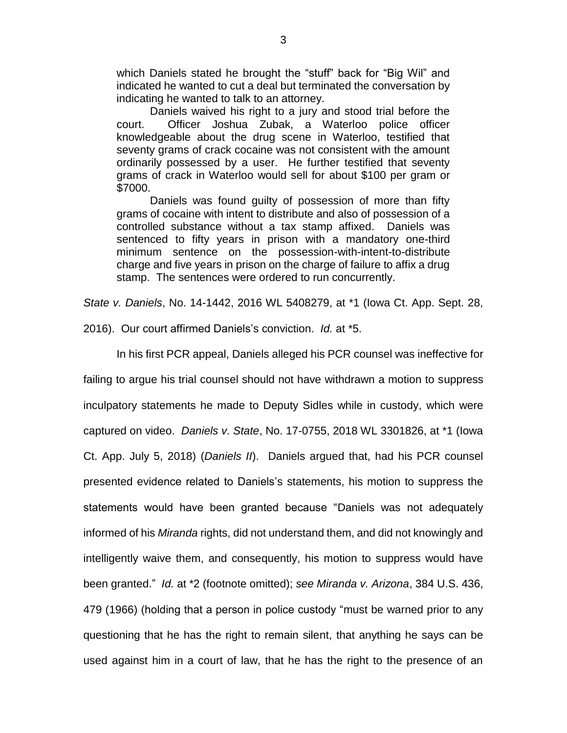which Daniels stated he brought the "stuff" back for "Big Wil" and indicated he wanted to cut a deal but terminated the conversation by indicating he wanted to talk to an attorney.

Daniels waived his right to a jury and stood trial before the court. Officer Joshua Zubak, a Waterloo police officer knowledgeable about the drug scene in Waterloo, testified that seventy grams of crack cocaine was not consistent with the amount ordinarily possessed by a user. He further testified that seventy grams of crack in Waterloo would sell for about \$100 per gram or \$7000.

Daniels was found guilty of possession of more than fifty grams of cocaine with intent to distribute and also of possession of a controlled substance without a tax stamp affixed. Daniels was sentenced to fifty years in prison with a mandatory one-third minimum sentence on the possession-with-intent-to-distribute charge and five years in prison on the charge of failure to affix a drug stamp. The sentences were ordered to run concurrently.

*State v. Daniels*, No. 14-1442, 2016 WL 5408279, at \*1 (Iowa Ct. App. Sept. 28,

2016). Our court affirmed Daniels's conviction. *Id.* at \*5.

In his first PCR appeal, Daniels alleged his PCR counsel was ineffective for

failing to argue his trial counsel should not have withdrawn a motion to suppress inculpatory statements he made to Deputy Sidles while in custody, which were captured on video. *Daniels v. State*, No. 17-0755, 2018 WL 3301826, at \*1 (Iowa Ct. App. July 5, 2018) (*Daniels II*). Daniels argued that, had his PCR counsel presented evidence related to Daniels's statements, his motion to suppress the statements would have been granted because "Daniels was not adequately informed of his *Miranda* rights, did not understand them, and did not knowingly and intelligently waive them, and consequently, his motion to suppress would have been granted." *Id.* at \*2 (footnote omitted); *see Miranda v. Arizona*, 384 U.S. 436, 479 (1966) (holding that a person in police custody "must be warned prior to any questioning that he has the right to remain silent, that anything he says can be used against him in a court of law, that he has the right to the presence of an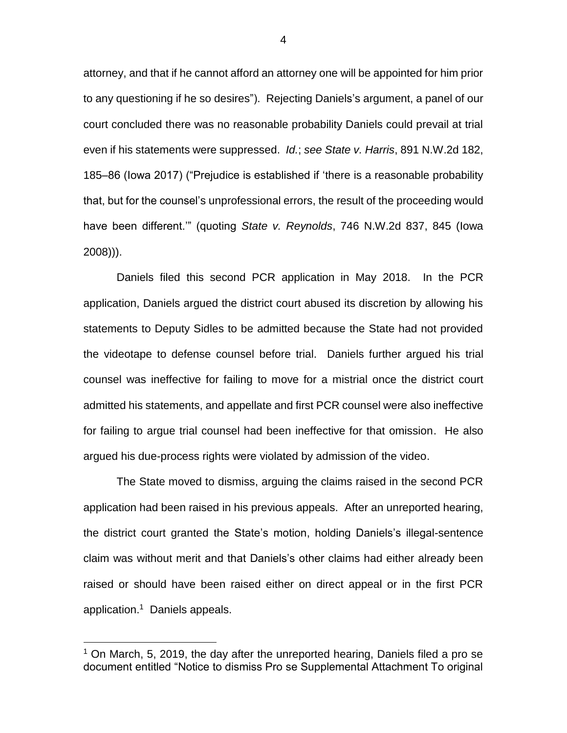attorney, and that if he cannot afford an attorney one will be appointed for him prior to any questioning if he so desires"). Rejecting Daniels's argument, a panel of our court concluded there was no reasonable probability Daniels could prevail at trial even if his statements were suppressed. *Id.*; *see State v. Harris*, 891 N.W.2d 182, 185–86 (Iowa 2017) ("Prejudice is established if 'there is a reasonable probability that, but for the counsel's unprofessional errors, the result of the proceeding would have been different.'" (quoting *State v. Reynolds*, 746 N.W.2d 837, 845 (Iowa 2008))).

Daniels filed this second PCR application in May 2018. In the PCR application, Daniels argued the district court abused its discretion by allowing his statements to Deputy Sidles to be admitted because the State had not provided the videotape to defense counsel before trial. Daniels further argued his trial counsel was ineffective for failing to move for a mistrial once the district court admitted his statements, and appellate and first PCR counsel were also ineffective for failing to argue trial counsel had been ineffective for that omission. He also argued his due-process rights were violated by admission of the video.

The State moved to dismiss, arguing the claims raised in the second PCR application had been raised in his previous appeals. After an unreported hearing, the district court granted the State's motion, holding Daniels's illegal-sentence claim was without merit and that Daniels's other claims had either already been raised or should have been raised either on direct appeal or in the first PCR application. 1 Daniels appeals.

 $\overline{a}$ 

 $1$  On March, 5, 2019, the day after the unreported hearing, Daniels filed a pro se document entitled "Notice to dismiss Pro se Supplemental Attachment To original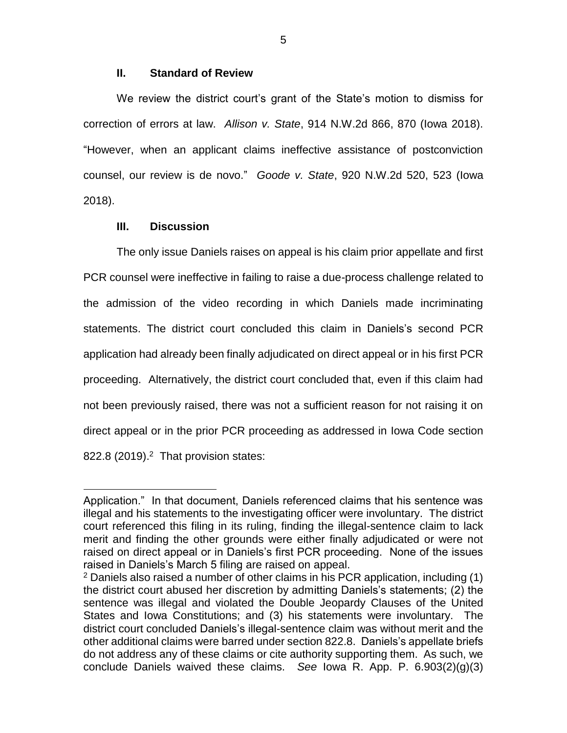### **II. Standard of Review**

We review the district court's grant of the State's motion to dismiss for correction of errors at law. *Allison v. State*, 914 N.W.2d 866, 870 (Iowa 2018). "However, when an applicant claims ineffective assistance of postconviction counsel, our review is de novo." *Goode v. State*, 920 N.W.2d 520, 523 (Iowa 2018).

### **III. Discussion**

 $\overline{a}$ 

The only issue Daniels raises on appeal is his claim prior appellate and first PCR counsel were ineffective in failing to raise a due-process challenge related to the admission of the video recording in which Daniels made incriminating statements. The district court concluded this claim in Daniels's second PCR application had already been finally adjudicated on direct appeal or in his first PCR proceeding. Alternatively, the district court concluded that, even if this claim had not been previously raised, there was not a sufficient reason for not raising it on direct appeal or in the prior PCR proceeding as addressed in Iowa Code section  $822.8$  (2019).<sup>2</sup> That provision states:

5

Application." In that document, Daniels referenced claims that his sentence was illegal and his statements to the investigating officer were involuntary. The district court referenced this filing in its ruling, finding the illegal-sentence claim to lack merit and finding the other grounds were either finally adjudicated or were not raised on direct appeal or in Daniels's first PCR proceeding. None of the issues raised in Daniels's March 5 filing are raised on appeal.

 $2$  Daniels also raised a number of other claims in his PCR application, including (1) the district court abused her discretion by admitting Daniels's statements; (2) the sentence was illegal and violated the Double Jeopardy Clauses of the United States and Iowa Constitutions; and (3) his statements were involuntary. The district court concluded Daniels's illegal-sentence claim was without merit and the other additional claims were barred under section 822.8. Daniels's appellate briefs do not address any of these claims or cite authority supporting them. As such, we conclude Daniels waived these claims. *See* Iowa R. App. P. 6.903(2)(g)(3)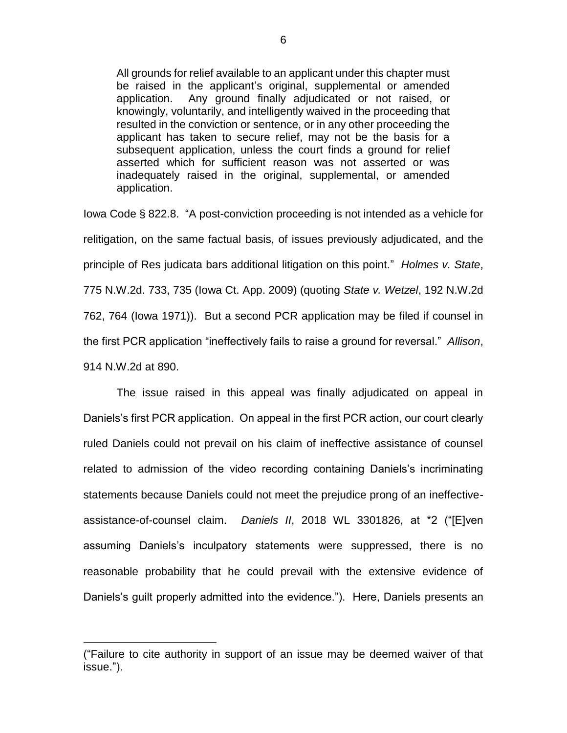All grounds for relief available to an applicant under this chapter must be raised in the applicant's original, supplemental or amended application. Any ground finally adjudicated or not raised, or knowingly, voluntarily, and intelligently waived in the proceeding that resulted in the conviction or sentence, or in any other proceeding the applicant has taken to secure relief, may not be the basis for a subsequent application, unless the court finds a ground for relief asserted which for sufficient reason was not asserted or was inadequately raised in the original, supplemental, or amended application.

Iowa Code § 822.8. "A post-conviction proceeding is not intended as a vehicle for relitigation, on the same factual basis, of issues previously adjudicated, and the principle of Res judicata bars additional litigation on this point." *Holmes v. State*, 775 N.W.2d. 733, 735 (Iowa Ct. App. 2009) (quoting *State v. Wetzel*, 192 N.W.2d 762, 764 (Iowa 1971)). But a second PCR application may be filed if counsel in the first PCR application "ineffectively fails to raise a ground for reversal." *Allison*, 914 N.W.2d at 890.

The issue raised in this appeal was finally adjudicated on appeal in Daniels's first PCR application. On appeal in the first PCR action, our court clearly ruled Daniels could not prevail on his claim of ineffective assistance of counsel related to admission of the video recording containing Daniels's incriminating statements because Daniels could not meet the prejudice prong of an ineffectiveassistance-of-counsel claim. *Daniels II*, 2018 WL 3301826, at \*2 ("[E]ven assuming Daniels's inculpatory statements were suppressed, there is no reasonable probability that he could prevail with the extensive evidence of Daniels's guilt properly admitted into the evidence."). Here, Daniels presents an

 $\overline{a}$ 

<sup>(&</sup>quot;Failure to cite authority in support of an issue may be deemed waiver of that issue.").